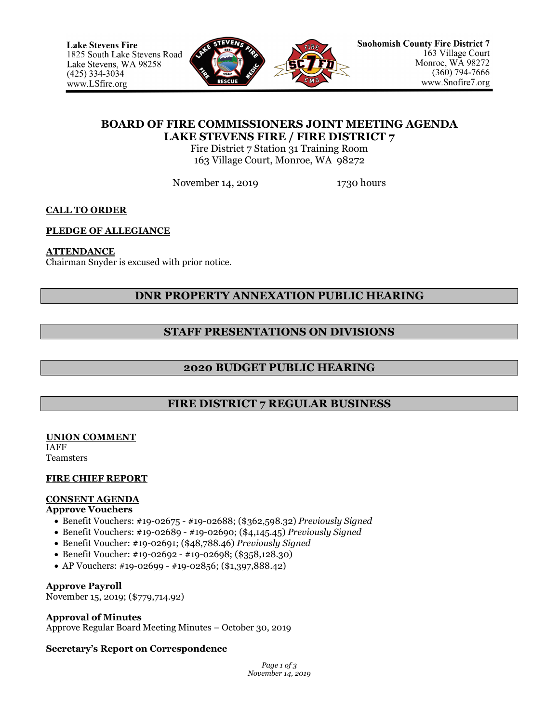

# **BOARD OF FIRE COMMISSIONERS JOINT MEETING AGENDA LAKE STEVENS FIRE / FIRE DISTRICT 7**

Fire District 7 Station 31 Training Room 163 Village Court, Monroe, WA 98272

November 14, 2019 1730 hours

**CALL TO ORDER**

## **PLEDGE OF ALLEGIANCE**

## **ATTENDANCE**

Chairman Snyder is excused with prior notice.

# **DNR PROPERTY ANNEXATION PUBLIC HEARING**

# **STAFF PRESENTATIONS ON DIVISIONS**

# **2020 BUDGET PUBLIC HEARING**

# **FIRE DISTRICT 7 REGULAR BUSINESS**

**UNION COMMENT** IAFF **Teamsters** 

## **FIRE CHIEF REPORT**

# **CONSENT AGENDA**

## **Approve Vouchers**

- Benefit Vouchers: #19-02675 #19-02688; (\$362,598.32) *Previously Signed*
- Benefit Vouchers: #19-02689 #19-02690; (\$4,145.45) *Previously Signed*
- Benefit Voucher: #19-02691; (\$48,788.46) *Previously Signed*
- Benefit Voucher: #19-02692 #19-02698; (\$358,128.30)
- AP Vouchers: #19-02699 #19-02856; (\$1,397,888.42)

## **Approve Payroll**

November 15, 2019; (\$779,714.92)

## **Approval of Minutes**

Approve Regular Board Meeting Minutes – October 30, 2019

## **Secretary's Report on Correspondence**

*Page 1 of 3 November 14, 2019*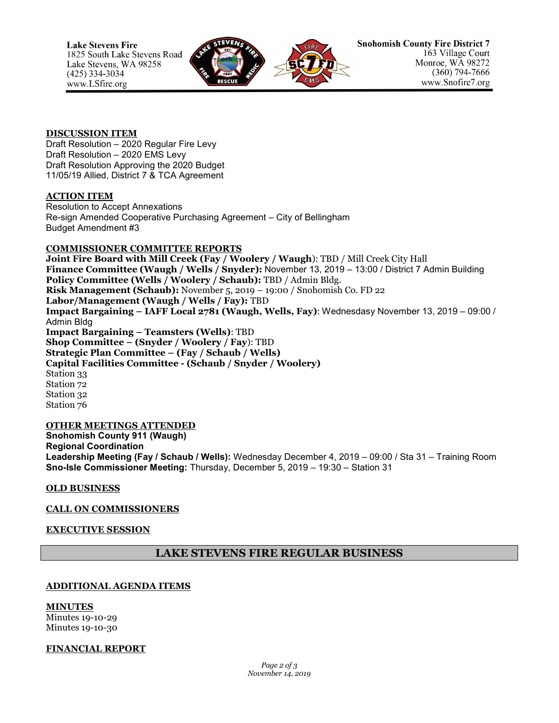

#### **DISCUSSION ITEM**

Draft Resolution – 2020 Regular Fire Levy Draft Resolution – 2020 EMS Levy Draft Resolution Approving the 2020 Budget 11/05/19 Allied, District 7 & TCA Agreement

## **ACTION ITEM**

Resolution to Accept Annexations Re-sign Amended Cooperative Purchasing Agreement – City of Bellingham Budget Amendment #3

## **COMMISSIONER COMMITTEE REPORTS**

**Joint Fire Board with Mill Creek (Fay / Woolery / Waugh**): TBD / Mill Creek City Hall **Finance Committee (Waugh / Wells / Snyder):** November 13, 2019 – 13:00 / District 7 Admin Building **Policy Committee (Wells / Woolery / Schaub):** TBD / Admin Bldg. **Risk Management (Schaub):** November 5, 2019 – 19:00 / Snohomish Co. FD 22 **Labor/Management (Waugh / Wells / Fay):** TBD **Impact Bargaining – IAFF Local 2781 (Waugh, Wells, Fay)**: Wednesdasy November 13, 2019 – 09:00 / Admin Bldg **Impact Bargaining – Teamsters (Wells)**: TBD **Shop Committee – (Snyder / Woolery / Fay**): TBD **Strategic Plan Committee – (Fay / Schaub / Wells) Capital Facilities Committee - (Schaub / Snyder / Woolery)** Station 33 Station 72 Station 32 Station 76

#### **OTHER MEETINGS ATTENDED Snohomish County 911 (Waugh) Regional Coordination Leadership Meeting (Fay / Schaub / Wells):** Wednesday December 4, 2019 – 09:00 / Sta 31 – Training Room **Sno-Isle Commissioner Meeting:** Thursday, December 5, 2019 – 19:30 – Station 31

**OLD BUSINESS**

## **CALL ON COMMISSIONERS**

## **EXECUTIVE SESSION**

## **LAKE STEVENS FIRE REGULAR BUSINESS**

## **ADDITIONAL AGENDA ITEMS**

**MINUTES** Minutes 19-10-29 Minutes 19-10-30

## **FINANCIAL REPORT**